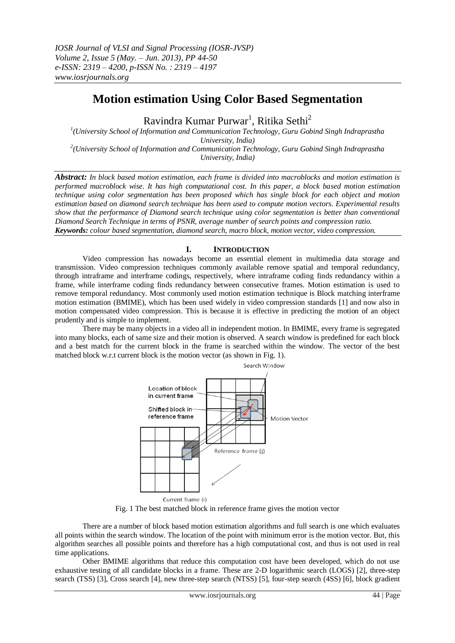# **Motion estimation Using Color Based Segmentation**

Ravindra Kumar Purwar<sup>1</sup>, Ritika Sethi<sup>2</sup>

*1 (University School of Information and Communication Technology, Guru Gobind Singh Indraprastha University, India) 2 (University School of Information and Communication Technology, Guru Gobind Singh Indraprastha University, India)*

*Abstract: In block based motion estimation, each frame is divided into macroblocks and motion estimation is performed macroblock wise. It has high computational cost. In this paper, a block based motion estimation technique using color segmentation has been proposed which has single block for each object and motion estimation based on diamond search technique has been used to compute motion vectors. Experimental results show that the performance of Diamond search technique using color segmentation is better than conventional Diamond Search Technique in terms of PSNR, average number of search points and compression ratio. Keywords: colour based segmentation, diamond search, macro block, motion vector, video compression.*

# **I. INTRODUCTION**

Video compression has nowadays become an essential element in multimedia data storage and transmission. Video compression techniques commonly available remove spatial and temporal redundancy, through intraframe and interframe codings, respectively, where intraframe coding finds redundancy within a frame, while interframe coding finds redundancy between consecutive frames. Motion estimation is used to remove temporal redundancy. Most commonly used motion estimation technique is Block matching interframe motion estimation (BMIME), which has been used widely in video compression standards [1] and now also in motion compensated video compression. This is because it is effective in predicting the motion of an object prudently and is simple to implement.

There may be many objects in a video all in independent motion. In BMIME, every frame is segregated into many blocks, each of same size and their motion is observed. A search window is predefined for each block and a best match for the current block in the frame is searched within the window. The vector of the best matched block w.r.t current block is the motion vector (as shown in Fig. 1).



Fig. 1 The best matched block in reference frame gives the motion vector

There are a number of block based motion estimation algorithms and full search is one which evaluates all points within the search window. The location of the point with minimum error is the motion vector. But, this algorithm searches all possible points and therefore has a high computational cost, and thus is not used in real time applications.

Other BMIME algorithms that reduce this computation cost have been developed, which do not use exhaustive testing of all candidate blocks in a frame. These are 2-D logarithmic search (LOGS) [2], three-step search (TSS) [3], Cross search [4], new three-step search (NTSS) [5], four-step search (4SS) [6], block gradient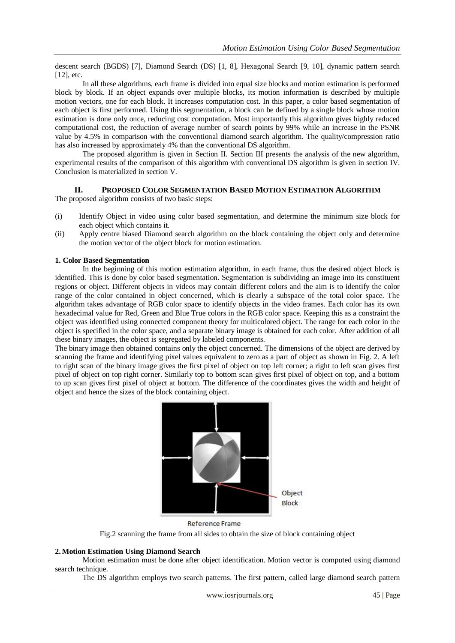descent search (BGDS) [7], Diamond Search (DS) [1, 8], Hexagonal Search [9, 10], dynamic pattern search [12], etc.

In all these algorithms, each frame is divided into equal size blocks and motion estimation is performed block by block. If an object expands over multiple blocks, its motion information is described by multiple motion vectors, one for each block. It increases computation cost. In this paper, a color based segmentation of each object is first performed. Using this segmentation, a block can be defined by a single block whose motion estimation is done only once, reducing cost computation. Most importantly this algorithm gives highly reduced computational cost, the reduction of average number of search points by 99% while an increase in the PSNR value by 4.5% in comparison with the conventional diamond search algorithm. The quality/compression ratio has also increased by approximately 4% than the conventional DS algorithm.

The proposed algorithm is given in Section II. Section III presents the analysis of the new algorithm, experimental results of the comparison of this algorithm with conventional DS algorithm is given in section IV. Conclusion is materialized in section V.

# **II. PROPOSED COLOR SEGMENTATION BASED MOTION ESTIMATION ALGORITHM**

The proposed algorithm consists of two basic steps:

- (i) Identify Object in video using color based segmentation, and determine the minimum size block for each object which contains it.
- (ii) Apply centre biased Diamond search algorithm on the block containing the object only and determine the motion vector of the object block for motion estimation.

#### **1. Color Based Segmentation**

In the beginning of this motion estimation algorithm, in each frame, thus the desired object block is identified. This is done by color based segmentation. Segmentation is subdividing an image into its constituent regions or object. Different objects in videos may contain different colors and the aim is to identify the color range of the color contained in object concerned, which is clearly a subspace of the total color space. The algorithm takes advantage of RGB color space to identify objects in the video frames. Each color has its own hexadecimal value for Red, Green and Blue True colors in the RGB color space. Keeping this as a constraint the object was identified using connected component theory for multicolored object. The range for each color in the object is specified in the color space, and a separate binary image is obtained for each color. After addition of all these binary images, the object is segregated by labeled components.

The binary image then obtained contains only the object concerned. The dimensions of the object are derived by scanning the frame and identifying pixel values equivalent to zero as a part of object as shown in Fig. 2. A left to right scan of the binary image gives the first pixel of object on top left corner; a right to left scan gives first pixel of object on top right corner. Similarly top to bottom scan gives first pixel of object on top, and a bottom to up scan gives first pixel of object at bottom. The difference of the coordinates gives the width and height of object and hence the sizes of the block containing object.



Reference Frame

Fig.2 scanning the frame from all sides to obtain the size of block containing object

### **2.Motion Estimation Using Diamond Search**

Motion estimation must be done after object identification. Motion vector is computed using diamond search technique.

The DS algorithm employs two search patterns. The first pattern, called large diamond search pattern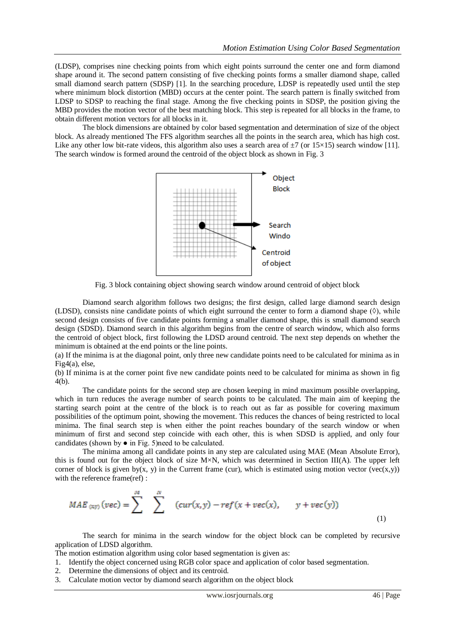(LDSP), comprises nine checking points from which eight points surround the center one and form diamond shape around it. The second pattern consisting of five checking points forms a smaller diamond shape, called small diamond search pattern (SDSP) [1]. In the searching procedure, LDSP is repeatedly used until the step where minimum block distortion (MBD) occurs at the center point. The search pattern is finally switched from LDSP to SDSP to reaching the final stage. Among the five checking points in SDSP, the position giving the MBD provides the motion vector of the best matching block. This step is repeated for all blocks in the frame, to obtain different motion vectors for all blocks in it.

The block dimensions are obtained by color based segmentation and determination of size of the object block. As already mentioned The FFS algorithm searches all the points in the search area, which has high cost. Like any other low bit-rate videos, this algorithm also uses a search area of  $\pm 7$  (or 15×15) search window [11]. The search window is formed around the centroid of the object block as shown in Fig. 3



Fig. 3 block containing object showing search window around centroid of object block

Diamond search algorithm follows two designs; the first design, called large diamond search design (LDSD), consists nine candidate points of which eight surround the center to form a diamond shape  $(\Diamond)$ , while second design consists of five candidate points forming a smaller diamond shape, this is small diamond search design (SDSD). Diamond search in this algorithm begins from the centre of search window, which also forms the centroid of object block, first following the LDSD around centroid. The next step depends on whether the minimum is obtained at the end points or the line points.

(a) If the minima is at the diagonal point, only three new candidate points need to be calculated for minima as in Fig4(a), else,

(b) If minima is at the corner point five new candidate points need to be calculated for minima as shown in fig 4(b).

The candidate points for the second step are chosen keeping in mind maximum possible overlapping, which in turn reduces the average number of search points to be calculated. The main aim of keeping the starting search point at the centre of the block is to reach out as far as possible for covering maximum possibilities of the optimum point, showing the movement. This reduces the chances of being restricted to local minima. The final search step is when either the point reaches boundary of the search window or when minimum of first and second step coincide with each other, this is when SDSD is applied, and only four candidates (shown by ● in Fig. 5)need to be calculated.

The minima among all candidate points in any step are calculated using MAE (Mean Absolute Error), this is found out for the object block of size M×N, which was determined in Section III(A). The upper left corner of block is given by(x, y) in the Current frame (cur), which is estimated using motion vector (vec(x,y)) with the reference frame(ref) :

$$
MAE_{(xy)}(vec) = \sum_{n=0}^{M} \sum_{n=0}^{N} (cur(x, y) - ref(x + vec(x), y + vec(y)))
$$
\n(1)

The search for minima in the search window for the object block can be completed by recursive application of LDSD algorithm.

The motion estimation algorithm using color based segmentation is given as:

- 1. Identify the object concerned using RGB color space and application of color based segmentation.
- 2. Determine the dimensions of object and its centroid.
- 3. Calculate motion vector by diamond search algorithm on the object block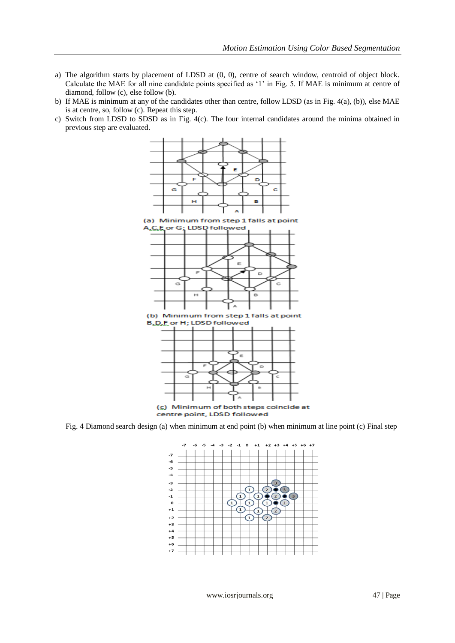- a) The algorithm starts by placement of LDSD at (0, 0), centre of search window, centroid of object block. Calculate the MAE for all nine candidate points specified as "1" in Fig. 5. If MAE is minimum at centre of diamond, follow (c), else follow (b).
- b) If MAE is minimum at any of the candidates other than centre, follow LDSD (as in Fig. 4(a), (b)), else MAE is at centre, so, follow (c). Repeat this step.
- c) Switch from LDSD to SDSD as in Fig. 4(c). The four internal candidates around the minima obtained in previous step are evaluated.



Fig. 4 Diamond search design (a) when minimum at end point (b) when minimum at line point (c) Final step

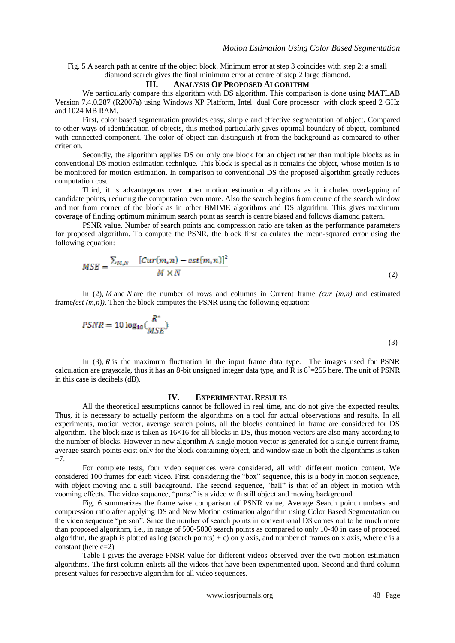Fig. 5 A search path at centre of the object block. Minimum error at step 3 coincides with step 2; a small diamond search gives the final minimum error at centre of step 2 large diamond.

### **III. ANALYSIS OF PROPOSED ALGORITHM**

We particularly compare this algorithm with DS algorithm. This comparison is done using MATLAB Version 7.4.0.287 (R2007a) using Windows XP Platform, Intel dual Core processor with clock speed 2 GHz and 1024 MB RAM.

First, color based segmentation provides easy, simple and effective segmentation of object. Compared to other ways of identification of objects, this method particularly gives optimal boundary of object, combined with connected component. The color of object can distinguish it from the background as compared to other criterion.

Secondly, the algorithm applies DS on only one block for an object rather than multiple blocks as in conventional DS motion estimation technique. This block is special as it contains the object, whose motion is to be monitored for motion estimation. In comparison to conventional DS the proposed algorithm greatly reduces computation cost.

Third, it is advantageous over other motion estimation algorithms as it includes overlapping of candidate points, reducing the computation even more. Also the search begins from centre of the search window and not from corner of the block as in other BMIME algorithms and DS algorithm. This gives maximum coverage of finding optimum minimum search point as search is centre biased and follows diamond pattern.

PSNR value, Number of search points and compression ratio are taken as the performance parameters for proposed algorithm. To compute the PSNR, the block first calculates the mean-squared error using the following equation:

$$
MSE = \frac{\sum_{M,N} \left[Cur(m,n) - est(m,n)\right]^2}{M \times N}
$$
\n(2)

In (2), *M* and *N* are the number of rows and columns in Current frame *(cur*  $(m,n)$ *)* and estimated frame(*est* (*m,n*)). Then the block computes the PSNR using the following equation:

$$
PSNR = 10 \log_{10} \left( \frac{R^2}{MSE} \right) \tag{3}
$$

In (3), *R* is the maximum fluctuation in the input frame data type. The images used for PSNR calculation are grayscale, thus it has an 8-bit unsigned integer data type, and  $\overline{R}$  is  $8^3 = 255$  here. The unit of PSNR in this case is decibels (dB).

## **IV. EXPERIMENTAL RESULTS**

All the theoretical assumptions cannot be followed in real time, and do not give the expected results. Thus, it is necessary to actually perform the algorithms on a tool for actual observations and results. In all experiments, motion vector, average search points, all the blocks contained in frame are considered for DS algorithm. The block size is taken as  $16\times16$  for all blocks in DS, thus motion vectors are also many according to the number of blocks. However in new algorithm A single motion vector is generated for a single current frame, average search points exist only for the block containing object, and window size in both the algorithms is taken  $+7.$ 

For complete tests, four video sequences were considered, all with different motion content. We considered 100 frames for each video. First, considering the "box" sequence, this is a body in motion sequence, with object moving and a still background. The second sequence, "ball" is that of an object in motion with zooming effects. The video sequence, "purse" is a video with still object and moving background.

Fig. 6 summarizes the frame wise comparison of PSNR value, Average Search point numbers and compression ratio after applying DS and New Motion estimation algorithm using Color Based Segmentation on the video sequence "person". Since the number of search points in conventional DS comes out to be much more than proposed algorithm, i.e., in range of 500-5000 search points as compared to only 10-40 in case of proposed algorithm, the graph is plotted as log (search points) + c) on y axis, and number of frames on x axis, where c is a constant (here c=2).

Table I gives the average PNSR value for different videos observed over the two motion estimation algorithms. The first column enlists all the videos that have been experimented upon. Second and third column present values for respective algorithm for all video sequences.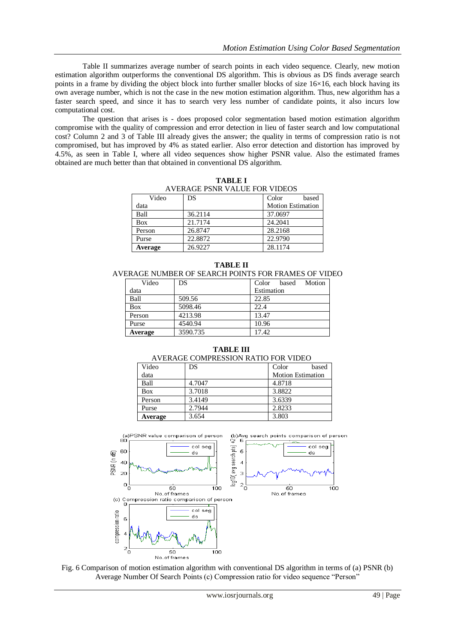Table II summarizes average number of search points in each video sequence. Clearly, new motion estimation algorithm outperforms the conventional DS algorithm. This is obvious as DS finds average search points in a frame by dividing the object block into further smaller blocks of size  $16\times16$ , each block having its own average number, which is not the case in the new motion estimation algorithm. Thus, new algorithm has a faster search speed, and since it has to search very less number of candidate points, it also incurs low computational cost.

The question that arises is - does proposed color segmentation based motion estimation algorithm compromise with the quality of compression and error detection in lieu of faster search and low computational cost? Column 2 and 3 of Table III already gives the answer; the quality in terms of compression ratio is not compromised, but has improved by 4% as stated earlier. Also error detection and distortion has improved by 4.5%, as seen in Table I, where all video sequences show higher PSNR value. Also the estimated frames obtained are much better than that obtained in conventional DS algorithm.

| AVERAGE PSNR VALUE FOR VIDEOS |         |                          |  |  |
|-------------------------------|---------|--------------------------|--|--|
| Video                         | DS      | Color<br>based           |  |  |
| data                          |         | <b>Motion Estimation</b> |  |  |
| Ball                          | 36.2114 | 37.0697                  |  |  |
| <b>Box</b>                    | 21.7174 | 24.2041                  |  |  |
| Person                        | 26.8747 | 28.2168                  |  |  |
| Purse                         | 22.8872 | 22.9790                  |  |  |
| Average                       | 26.9227 | 28.1174                  |  |  |

**TABLE I** AVERAGE PSNR VALUE FOR VIDEOS

| ERAGE NUMBER OF SEARCH POINTS FOR FRAMES OF VIL |          |                          |  |  |
|-------------------------------------------------|----------|--------------------------|--|--|
| Video                                           | DS       | Motion<br>Color<br>based |  |  |
| data                                            |          | Estimation               |  |  |
| Ball                                            | 509.56   | 22.85                    |  |  |
| <b>Box</b>                                      | 5098.46  | 22.4                     |  |  |
| Person                                          | 4213.98  | 13.47                    |  |  |
| Purse                                           | 4540.94  | 10.96                    |  |  |
| Average                                         | 3590.735 | 17.42                    |  |  |

**TABLE II**

AVERAGE NUMBER OF SEARCH POINTS FOR FRAMES OF VIDEO

**TABLE III**

| Video      | DS     | Color<br>based           |
|------------|--------|--------------------------|
| data       |        | <b>Motion Estimation</b> |
| Ball       | 4.7047 | 4.8718                   |
| <b>Box</b> | 3.7018 | 3.8822                   |
| Person     | 3.4149 | 3.6339                   |
| Purse      | 2.7944 | 2.8233                   |
| Average    | 3.654  | 3.803                    |



Fig. 6 Comparison of motion estimation algorithm with conventional DS algorithm in terms of (a) PSNR (b) Average Number Of Search Points (c) Compression ratio for video sequence "Person"